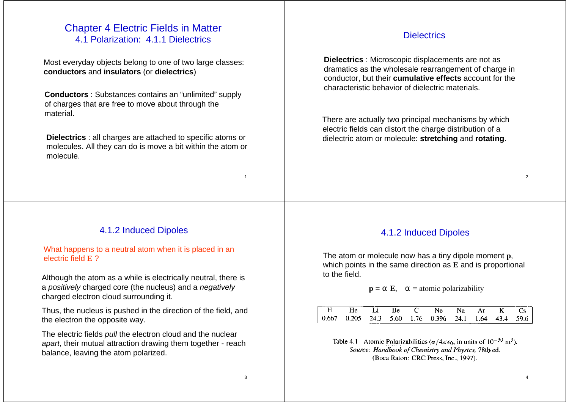# Chapter 4 Electric Fields in Matter 4.1 Polarization: 4.1.1 Dielectrics

Most everyday objects belong to one of two large classes: **conductors** and **insulators** (or **dielectrics**)

**Conductors** : Substances contains an "unlimited" supply of charges that are free to move about through the material.

**Dielectrics** : all charges are attached to specific atoms or molecules. All they can do is move a bit within the atom or molecule.

#### **Dielectrics**

**Dielectrics** : Microscopic displacements are not as dramatics as the wholesale rearrangement of charge in conductor, but their **cumulative effects** account for the characteristic behavior of dielectric materials.

There are actually two principal mechanisms by which electric fields can distort the charge distribution of a dielectric atom or molecule: **stretching** and **rotating**.

### 4.1.2 Induced Dipoles

What happens to a neutral atom when it is placed in an electric field **E** ?

Although the atom as a while is electrically neutral, there is <sup>a</sup>*positively* charged core (the nucleus) and a *negatively* charged electron cloud surrounding it.

Thus, the nucleus is pushed in the direction of the field, and the electron the opposite way.

The electric fields *pull* the electron cloud and the nuclear *apart*, their mutual attraction drawing them together - reach balance, leaving the atom polarized.

## 4.1.2 Induced Dipoles

The atom or molecule now has a tiny dipole moment **p**, which points in the same direction as **E** and is proportional to the field.

#### $p = E$ ,  $=$  atomic polarizability

| $- - - - - -$<br>l H | He . | - 1.1 | - Bel | $\Gamma$ | Ne.                                                                                                                      | Nа | Ar | K. |  |
|----------------------|------|-------|-------|----------|--------------------------------------------------------------------------------------------------------------------------|----|----|----|--|
| ------               |      |       |       |          | $\vert 0.667 \quad 0.205 \quad 24.3 \quad 5.60 \quad 1.76 \quad 0.396 \quad 24.1 \quad 1.64 \quad 43.4 \quad 59.6 \vert$ |    |    |    |  |

Table 4.1 Atomic Polarizabilities ( $\alpha/4\pi\epsilon_0$ , in units of  $10^{-30}$  m<sup>3</sup>). Source: Handbook of Chemistry and Physics, 78th ed. (Boca Raton: CRC Press, Inc., 1997).

1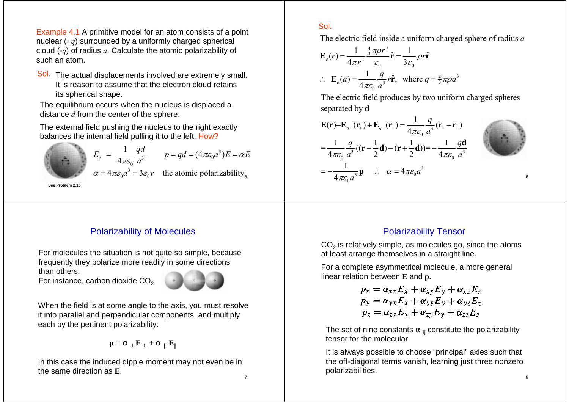Example 4.1 A primitive model for an atom consists of a point nuclear (+*q*) surrounded by a uniformly charged spherical cloud (-*q*) of radius *a*. Calculate the atomic polarizability of such an atom.

Sol. The actual displacements involved are extremely small. It is reason to assume that the electron cloud retains its spherical shape.

The equilibrium occurs when the nucleus is displaced a distance *d* from the center of the sphere.

The external field pushing the nucleus to the right exactly balances the internal field pulling it to the left. How?

$$
E_e = \frac{1}{4\pi\varepsilon_0} \frac{qd}{a^3} \qquad p = qd = (4\pi\varepsilon_0 a^3)E = \alpha E
$$
  

$$
\alpha = 4\pi\varepsilon_0 a^3 = 3\varepsilon_0 v \qquad \text{the atomic polarizability}_5
$$

**See Problem 2.18**

# Polarizability of Molecules

For molecules the situation is not quite so simple, because frequently they polarize more readily in some directions than others.

For instance, carbon dioxide  $CO<sub>2</sub>$ 



When the field is at some angle to the axis, you must resolve it into parallel and perpendicular components, and multiply each by the pertinent polarizability:

 $p = \mathbf{E} + \mathbf{E}$ 

In this case the induced dipple moment may not even be in the same direction as **E**.

### Sol.

The electric field inside a uniform charged sphere of radius *a*

$$
\mathbf{E}_e(r) = \frac{1}{4\pi r^2} \frac{\frac{4}{3}\pi \rho r^3}{\varepsilon_0} \hat{\mathbf{r}} = \frac{1}{3\varepsilon_0} \rho r \hat{\mathbf{r}}
$$
  
\n
$$
\therefore \mathbf{E}_e(a) = \frac{1}{4\pi\varepsilon_0} \frac{q}{a^3} r \hat{\mathbf{r}}, \text{ where } q = \frac{4}{3}\pi\rho a^3
$$

The electric field produces by two uniform charged spheres separated by **d**

$$
\mathbf{E}(\mathbf{r}) = \mathbf{E}_{q+}(\mathbf{r}_{+}) + \mathbf{E}_{q-}(\mathbf{r}_{-}) = \frac{1}{4\pi\varepsilon_{0}}\frac{q}{a^{3}}(\mathbf{r}_{+} - \mathbf{r}_{-})
$$
\n
$$
= \frac{1}{4\pi\varepsilon_{0}}\frac{q}{a^{3}}((\mathbf{r} - \frac{1}{2}\mathbf{d}) - (\mathbf{r} + \frac{1}{2}\mathbf{d})) = -\frac{1}{4\pi\varepsilon_{0}}\frac{q\mathbf{d}}{a^{3}}
$$
\n
$$
= -\frac{1}{4\pi\varepsilon_{0}a^{3}}\mathbf{p} \quad \therefore \quad \alpha = 4\pi\varepsilon_{0}a^{3}
$$

Polarizability Tensor

CO $_2$  is relatively simple, as molecules go, since the atoms at least arrange themselves in a straight line.

For a complete asymmetrical molecule, a more general linear relation between **E** and **p.**

$$
p_x = \alpha_{xx} E_x + \alpha_{xy} E_y + \alpha_{xz} E_z
$$
  
\n
$$
p_y = \alpha_{yx} E_x + \alpha_{yy} E_y + \alpha_{yz} E_z
$$
  
\n
$$
p_z = \alpha_{zx} E_x + \alpha_{zy} E_y + \alpha_{zz} E_z
$$

The set of nine constants  $\mathbf{v}_i$  constitute the polarizability tensor for the molecular.

It is always possible to choose "principal" axies such that the off-diagonal terms vanish, learning just three nonzero polarizabilities.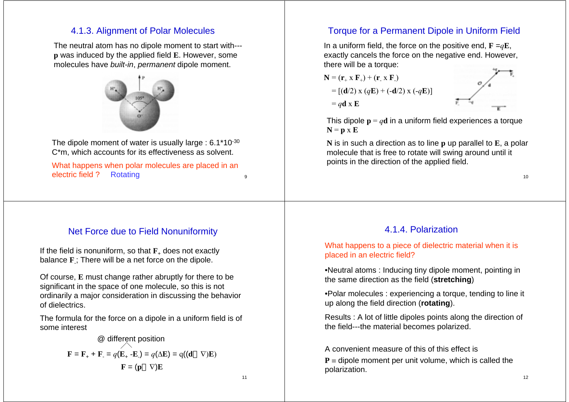## 4.1.3. Alignment of Polar Molecules

The neutral atom has no dipole moment to start with-- **p** was induced by the applied field **E**. However, some molecules have *built-in*, *permanent* dipole moment.



The dipole moment of water is usually large : 6.1\*10<sup>-30</sup> C\*m, which accounts for its effectiveness as solvent.

What happens when polar molecules are placed in an electric field ?? Rotating the contract of the contract of the contract of the contract of the contract of the contract of the contract of the contract of the contract of the contract of the contract of the contract of the contract of the

# Torque for a Permanent Dipole in Uniform Field

In a uniform field, the force on the positive end,  $\mathbf{F} = q\mathbf{E}$ , exactly cancels the force on the negative end. However, there will be a torque:



This dipole  $\mathbf{p} = q\mathbf{d}$  in a uniform field experiences a torque **N** <sup>=</sup>**p** <sup>x</sup>**E**

**N** is in such a direction as to line **p** up parallel to **E**, a polar molecule that is free to rotate will swing around until it points in the direction of the applied field.

## Net Force due to Field Nonuniformity

If the field is nonuniform, so that **F**+ does not exactly balance **F** -; There will be a net force on the dipole.

Of course, **E** must change rather abruptly for there to be significant in the space of one molecule, so this is not ordinarily a major consideration in discussing the behavior of dielectrics.

The formula for the force on a dipole in a uniform field is of some interest

$$
\textcircled{a different position}
$$
\n
$$
\mathbf{F} = \mathbf{F}_{+} + \mathbf{F}_{-} = q(\mathbf{E}_{+} - \mathbf{E}_{-}) = q(\Delta \mathbf{E}) = q((\mathbf{d} \quad \nabla)\mathbf{E})
$$
\n
$$
\mathbf{F} = (\mathbf{p} \quad \nabla)\mathbf{E}
$$

11

9

## 4.1.4. Polarization

#### What happens to a piece of dielectric material when it is placed in an electric field?

•Neutral atoms : Inducing tiny dipole moment, pointing in the same direction as the field (**stretching**)

•Polar molecules : experiencing a torque, tending to line it up along the field direction (**rotating**).

Results : A lot of little dipoles points along the direction of the field---the material becomes polarized.

A convenient measure of this of this effect is**P** <sup>≡</sup> dipole moment per unit volume, which is called the polarization.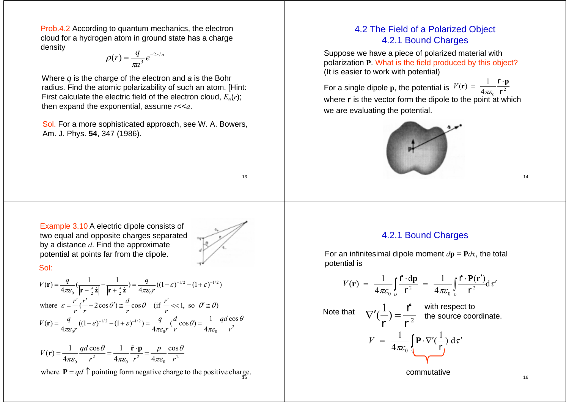Prob.4.2 According to quantum mechanics, the electron cloud for a hydrogen atom in ground state has a charge density

$$
\rho(r) = \frac{q}{\pi a^3} e^{-2r/a}
$$

Where *q* is the charge of the electron and *<sup>a</sup>* is the Bohr radius. Find the atomic polarizability of such an atom. [Hint: First calculate the electric field of the electron cloud,  $E_{\alpha}(r)$ ; then expand the exponential, assume *r*<<*a*.

Sol. For a more sophisticated approach, see W. A. Bowers, Am. J. Phys. **54**, 347 (1986).

# 4.2 The Field of a Polarized Object 4.2.1 Bound Charges

Suppose we have a piece of polarized material with polarization **P**. What is the field produced by this object? (It is easier to work with potential)

For a single dipole **p**, the potential is  $V(\mathbf{r}) = \frac{1}{4\pi\varepsilon_0} \frac{1}{\Gamma^2}$ where r is the vector form the dipole to the point at which we are evaluating the potential.  $V(\mathbf{r}) = \frac{1}{4\pi\epsilon_0} \frac{\hat{\mathbf{r}} \cdot \mathbf{p}}{\mathbf{r}^2}$ 



Example 3.10 A electric dipole consists of two equal and opposite charges separated by a distance *d*. Find the approximate potential at points far from the dipole.



13

#### Sol:

$$
V(\mathbf{r}) = \frac{q}{4\pi\varepsilon_0} \left( \frac{1}{|\mathbf{r} - \frac{d}{2}\hat{\mathbf{z}}|} - \frac{1}{|\mathbf{r} + \frac{d}{2}\hat{\mathbf{z}}|} \right) = \frac{q}{4\pi\varepsilon_0 r} \left( (1 - \varepsilon)^{-1/2} - (1 + \varepsilon)^{-1/2} \right)
$$
  
where  $\varepsilon = \frac{r'}{r} \left( \frac{r'}{r} - 2\cos\theta' \right) \approx \frac{d}{r} \cos\theta$  (if  $\frac{r'}{r} \ll 1$ , so  $\theta' \approx \theta$ )  

$$
V(\mathbf{r}) = \frac{q}{4\pi\varepsilon_0 r} \left( (1 - \varepsilon)^{-1/2} - (1 + \varepsilon)^{-1/2} \right) = \frac{q}{4\pi\varepsilon_0 r} \left( \frac{d}{r} \cos\theta \right) = \frac{1}{4\pi\varepsilon_0} \frac{qd\cos\theta}{r^2}
$$

$$
V(\mathbf{r}) = \frac{1}{4\pi\varepsilon_0} \frac{qd\cos\theta}{r^2} = \frac{1}{4\pi\varepsilon_0} \frac{\hat{\mathbf{r}} \cdot \mathbf{p}}{r^2} = \frac{p}{4\pi\varepsilon_0} \frac{\cos\theta}{r^2}
$$

15where  $P = qd$   $\uparrow$  pointing form negative charge to the positive charge.

#### 4.2.1 Bound Charges

For an infinitesimal dipole moment  $d\mathbf{p} = \mathbf{P}d\tau$ , the total potential is

$$
V(\mathbf{r}) = \frac{1}{4\pi\varepsilon_0} \int_{v} \frac{\hat{\mathbf{r}} \cdot d\mathbf{p}}{\mathbf{r}^2} = \frac{1}{4\pi\varepsilon_0} \int_{v} \frac{\hat{\mathbf{r}} \cdot \mathbf{P}(\mathbf{r}')}{\mathbf{r}^2} d\tau'
$$
  
Note that 
$$
\nabla'(\frac{1}{\mathbf{r}}) = \frac{\hat{\mathbf{r}}}{\mathbf{r}^2} \text{ with respect to the source coordinate.}
$$

$$
V = \frac{1}{4\pi\varepsilon_0} \int_{\mathbf{N}} \mathbf{P} \cdot \nabla'(\frac{1}{\mathbf{r}}) d\tau'
$$

commutative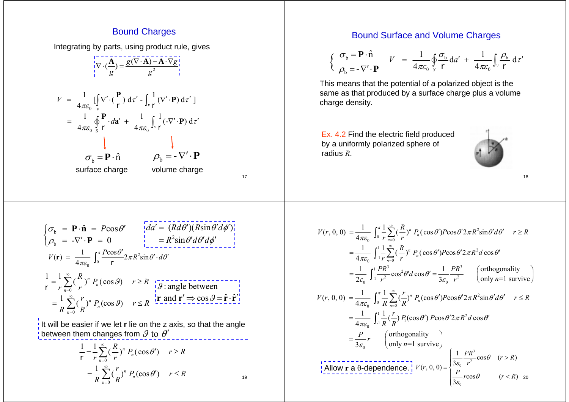### **Bound Charges**

Integrating by parts, using product rule, gives



0

## Bound Surface and Volume Charges

$$
\begin{cases}\n\sigma_{\text{b}} = \mathbf{P} \cdot \hat{\mathbf{n}} \\
\rho_{\text{b}} = -\nabla' \cdot \mathbf{P}\n\end{cases} \quad V = \frac{1}{4\pi\varepsilon_0} \oint_{S} \frac{\sigma_{\text{b}}}{r} da' + \frac{1}{4\pi\varepsilon_0} \int_{\nu} \frac{\rho_{\text{b}}}{r} d\tau'
$$

This means that the potential of a polarized object is the same as that produced by a surface charge plus a volume charge density.

Ex. 4.2 Find the electric field produced by a uniformly polarized sphere of radius *R*.



20  $-\int_0^{\pi} \frac{1}{r} \sum_{n=0}^{\infty} \left(\frac{R}{r}\right)^n P_n(\cos\theta') P \cos\theta' 2\pi R^2$ 0 $\frac{1}{4\pi\epsilon_0} \int_{-1}^{1} \sum_{r=0}^{\infty} \left(\frac{R}{r}\right)^n P_n(\cos\theta') P \cos\theta' 2\pi R^2 d\cos\theta'$ 00  $n=0$  $\int_{0}^{1} \frac{PR^{3}}{r^{2}} \cos^{2} \theta' d \cos \theta' = \frac{1}{3\varepsilon_{0}} \frac{PR^{3}}{r^{2}}$  $(r, 0, 0) = {1 \over 4\pi\epsilon_0} \int_0^{\pi} {1 \over r} \sum_{n=0}^{\infty} {R \choose r}^n P_n(\cos \theta') P \cos \theta' 2\pi R^2 \sin \theta' d\theta'$  $\frac{1}{\epsilon} \int_{0}^{1} \frac{PR^3}{\epsilon^2} \cos^2 \theta' d \cos \theta' = \frac{1}{\epsilon} \frac{PR^3}{\epsilon^2}$  (orthogonality  $2\varepsilon_0$ ,  $J_{-1}$ ,  $r^2$  and  $r^2$  only  $n=1$  survive  $V(r, 0, 0) = \frac{1}{4\pi\epsilon_0} \int_0^{\pi} \frac{1}{r} \sum_{n=0}^{\infty} \left(\frac{R}{r}\right)^n P_n(\cos\theta') P \cos\theta' 2\pi R^2 \sin\theta' d\theta' \quad r \ge R$  $\frac{1}{\pi \varepsilon_0}$   $\int_{-1}^{1} \sum_{r} (\frac{1}{r})^n P_n(\cos \theta') P \cos \theta' 2 \pi R^2 d \cos \theta$  $\frac{PR^3}{r^2}$  cos<sup>2</sup> $\theta' d$  cos  $\theta' = \frac{1}{3\varepsilon_0} \frac{PR^3}{r^2}$  (orthogony *n*  $rac{1}{\pi \varepsilon_0} \int_0^{\pi} \frac{1}{r} \sum_{n=0}^{\infty} (\frac{R}{r})^n P_n(\cos \theta') P \cos \theta' 2\pi R^2 \sin \theta' d\theta$  $\varepsilon_0$   $\frac{1}{r}$   $\frac{1}{r}$   $\frac{1}{s}$  $=\frac{1}{4\pi\epsilon}\int_0^{\pi}\frac{1}{r}\sum_{n=1}^{\infty}(\frac{R}{r})^n P_n(\cos\theta')P\cos\theta'2\pi R^2\sin\theta'd\theta'$   $r\geq$  $=\frac{1}{4\pi\epsilon}\int_{-1}^{1}\frac{1}{r}\sum_{n}^{\infty}(\frac{R}{r})^n P_n(\cos\theta')P\cos\theta'2\pi R^2d\cos\theta'$  $=\frac{1}{2\varepsilon_0}\int_{-1}^{1}\frac{PR^3}{r^2}\cos^2\theta'd\cos\theta'=\frac{1}{3\varepsilon_0}\frac{PR^3}{r^2}$  (orthogonality<br>only n=1 survive)  $-\int_0^{\pi} \frac{1}{R} \sum_{n=0}^{\infty} \left(\frac{I}{R}\right)^n P_n(\cos \theta') P \cos \theta' 2 \pi R^2$  $=\frac{1}{4\pi\epsilon_0}\int_{-1}^{1}\frac{1}{R}(\frac{r}{R})P_1(\cos\theta')\ P\cos\theta'2\pi R^2d\cos\theta'$ 0 $(r, 0, 0) = {1 \over 4\pi\epsilon_0} \int_0^{\pi} {1 \over R} \sum_{n=0}^{\infty} ({r \over R})^n P_n(\cos \theta') P \cos \theta' 2\pi R^2 \sin \theta' d\theta'$ orthogonality  $3\varepsilon_0$  (only *n*=1 survive  $V(r, 0, 0) = \frac{1}{4\pi\epsilon_0} \int_0^{\pi} \frac{1}{R} \sum_{n=0}^{\infty} \left(\frac{r}{R}\right)^n P_n(\cos\theta') P \cos\theta' 2\pi R^2 \sin\theta' d\theta'$   $r \le R$  $\frac{P}{\varepsilon_0}r$  (orthogon)  $rac{1}{\pi \varepsilon_0} \int_0^{\pi} \frac{1}{R} \sum_{n=0}^{\infty} \left(\frac{F}{R}\right)^n P_n(\cos \theta') P \cos \theta' 2\pi R^2 \sin \theta' d\theta$  $=\frac{1}{4\pi c}\int_0^{\pi}\frac{1}{R}\sum_{n=0}^{\infty}\left(\frac{r}{R}\right)^n P_n(\cos\theta')P\cos\theta'2\pi R^2\sin\theta'd\theta'$   $r\leq$  $=\frac{P}{3\varepsilon_0}r$  (orthogonality<br>only *n*=1 survive) Allow **r** <sup>a</sup>θ-dependence. 3  $r^2$  $\frac{1}{3\varepsilon_0} \frac{PR^3}{r^2} \cos \theta \quad (r > R)$  $(r, 0, 0) = \{$  $\frac{1}{3\varepsilon_0} r \cos \theta$   $(r < R)$  $V(r, 0, 0) = \begin{cases} \frac{1}{3\varepsilon_0} \frac{PR^3}{r^2} \cos\theta & (r > R) \\ \frac{P}{r^2} r \cos\theta & (r < R) \end{cases}$  $\frac{1}{\varepsilon_0} \frac{1}{r^2} \cos \theta$  $\frac{1}{\varepsilon_0}$ rcosθ  $= \begin{cases} \frac{1}{3\varepsilon_0} \frac{PR^3}{r^2} \cos \theta & (r > \\ \frac{P}{r^2} \cos \theta & (r < 1) \end{cases}$  $3\varepsilon_0$  (1)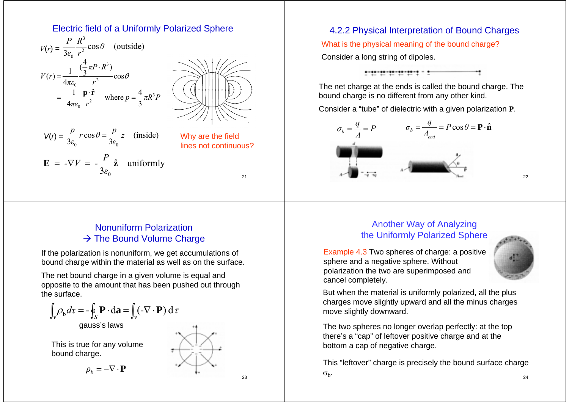## Electric field of a Uniformly Polarized Sphere



# Nonuniform Polarization  $\rightarrow$  The Bound Volume Charge

If the polarization is nonuniform, we get accumulations of bound charge within the material as well as on the surface.

The net bound charge in a given volume is equal and opposite to the amount that has been pushed out through the surface.



23

# 4.2.2 Physical Interpretation of Bound Charges What is the physical meaning of the bound charge? Consider a long string of dipoles.

The net charge at the ends is called the bound charge. The bound charge is no different from any other kind.

Consider a "tube" of dielectric with a given polarization **P**.



22

# Another Way of Analyzing the Uniformly Polarized Sphere

Example 4.3 Two spheres of charge: a positive sphere and a negative sphere. Without polarization the two are superimposed and cancel completely.



But when the material is uniformly polarized, all the plus charges move slightly upward and all the minus charges move slightly downward.

The two spheres no longer overlap perfectly: at the top there's a "cap" of leftover positive charge and at the bottom a cap of negative charge.

24This "leftover" charge is precisely the bound surface charge  $\sigma_{b}$ .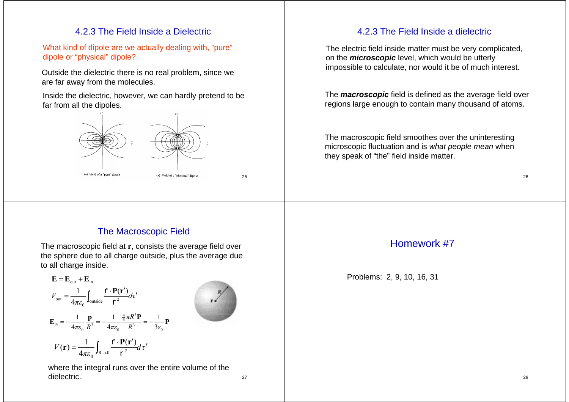# 4.2.3 The Field Inside a Dielectric

What kind of dipole are we actually dealing with, "pure" dipole or "physical" dipole?

Outside the dielectric there is no real problem, since we are far away from the molecules.

Inside the dielectric, however, we can hardly pretend to be far from all the dipoles.



# 4.2.3 The Field Inside a dielectric

The electric field inside matter must be very complicated, on the *microscopic* level, which would be utterly impossible to calculate, nor would it be of much interest.

The *macroscopic* field is defined as the average field over regions large enough to contain many thousand of atoms.

The macroscopic field smoothes over the uninteresting microscopic fluctuation and is *what people mean* when they speak of "the" field inside matter.

# The Macroscopic Field

The macroscopic field at **<sup>r</sup>**, consists the average field over the sphere due to all charge outside, plus the average due to all charge inside.

$$
\mathbf{E} = \mathbf{E}_{\text{out}} + \mathbf{E}_{\text{in}}
$$
\n
$$
V_{\text{out}} = \frac{1}{4\pi\epsilon_0} \int_{\text{outside}} \frac{\mathbf{f} \cdot \mathbf{P}(\mathbf{r}')}{r^2} d\tau'
$$
\n
$$
\mathbf{E}_{\text{in}} = -\frac{1}{4\pi\epsilon_0} \frac{\mathbf{p}}{R^3} = -\frac{1}{4\pi\epsilon_0} \frac{\frac{4}{3}\pi R^3 \mathbf{P}}{R^3} = -\frac{1}{3\epsilon_0} \mathbf{P}
$$
\n
$$
V(\mathbf{r}) = \frac{1}{4\pi\epsilon_0} \int_{R \to 0} \frac{\mathbf{f} \cdot \mathbf{P}(\mathbf{r}')}{r^2} d\tau'
$$

where the integral runs over the entire volume of the dielectric.

27

# Homework #7

Problems: 2, 9, 10, 16, 31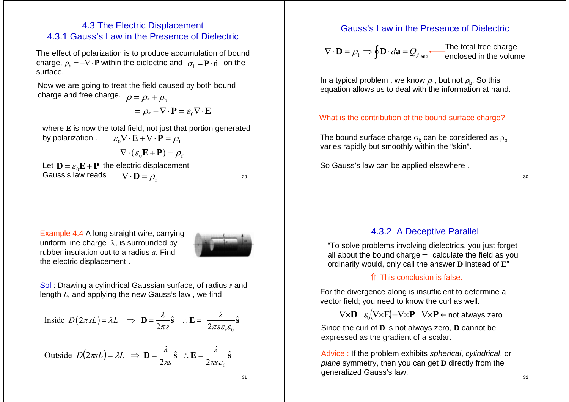## 4.3 The Electric Displacement 4.3.1 Gauss's Law in the Presence of Dielectric

The effect of polarization is to produce accumulation of bound  $\mathbf{p}_b = -\nabla \cdot \mathbf{P}$  within the dielectric and  $\sigma_{\rm b} = \mathbf{P} \cdot \hat{\mathbf{n}}$  on the surface.

Now we are going to treat the field caused by both bound charge and free charge.  $\;\rho=\rho_{\rm f}+\rho_{\rm b}$ 

$$
= \rho_{\rm f} - \nabla \cdot \mathbf{P} = \varepsilon_0 \nabla \cdot \mathbf{E}
$$

where **E** is now the total field, not just that portion generated by polarization .  $\varepsilon_{0} \nabla \cdot \mathbf{E} + \nabla \cdot \mathbf{P} = \rho_{\mathrm{f}}$ 

$$
\nabla \cdot (\varepsilon_0 \mathbf{E} + \mathbf{P}) = \rho_f
$$

Let  $\mathbf{D} = \varepsilon_{\textnormal{0}} \mathbf{E} + \mathbf{P}$  the electric displacement Gauss's law reads  $=\rho_{\rm_f}$  $\nabla \cdot \mathbf{D} = \rho_{\rm f}$  30

29

Example 4.4 A long straight wire, carrying uniform line charge  $\lambda$ , is surrounded by rubber insulation out to a radius *a*. Find the electric displacement .



Sol : Drawing a cylindrical Gaussian surface, of radius *<sup>s</sup>* and length *L*, and applying the new Gauss's law , we find

$$
\text{Inside } D(2\pi sL) = \lambda L \implies \mathbf{D} = \frac{\lambda}{2\pi s} \hat{\mathbf{s}} \quad \therefore \mathbf{E} = \frac{\lambda}{2\pi s \varepsilon_r \varepsilon_0} \hat{\mathbf{s}}
$$

Outside 
$$
D(2\pi sL) = \lambda L \implies \mathbf{D} = \frac{\lambda}{2\pi s} \hat{\mathbf{s}} \therefore \mathbf{E} = \frac{\lambda}{2\pi s \varepsilon_0} \hat{\mathbf{s}}
$$

## Gauss's Law in the Presence of Dielectric

$$
\nabla \cdot \mathbf{D} = \rho_{\rm f} \Rightarrow \oint \mathbf{D} \cdot d\mathbf{a} = Q_{f_{\rm enc}} \qquad \qquad \text{The total free charge} \qquad \text{enclosed in the volume}
$$

In a typical problem, we know  $\rho_f$ , but not  $\rho_b$ . So this equation allows us to deal with the information at hand.

#### What is the contribution of the bound surface charge?

The bound surface charge  $\sigma_{\rm b}$  can be considered as  $\rho_{\rm b}$ varies rapidly but smoothly within the "skin".

So Gauss's law can be applied elsewhere .

#### 4.3.2 A Deceptive Parallel

"To solve problems involving dielectrics, you just forget all about the bound charge calculate the field as you ordinarily would, only call the answer **D** instead of **E**"

#### ⇑ This conclusion is false.

For the divergence along is insufficient to determine a vector field; you need to know the curl as well.

$$
\nabla \times \mathbf{D} = \varepsilon_0 (\nabla \times \mathbf{E}) + \nabla \times \mathbf{P} = \nabla \times \mathbf{P} \quad \text{not always zero}
$$

Since the curl of **D** is not always zero, **D** cannot be expressed as the gradient of a scalar.

Advice : If the problem exhibits *spherical*, *cylindrical*, or *plane* symmetry, then you can get **D** directly from the generalized Gauss's law.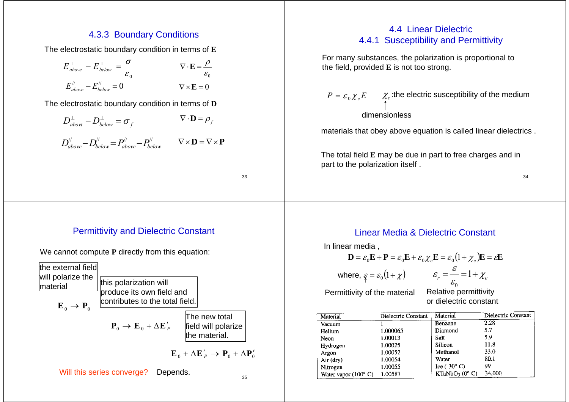## 4.3.3 Boundary Conditions

The electrostatic boundary condition in terms of **E**

$$
E_{above}^{\perp} - E_{below}^{\perp} = \frac{\sigma}{\varepsilon_0}
$$
  
\n
$$
E_{above}^{\prime\prime} - E_{below}^{\prime\prime} = 0
$$
  
\n
$$
\nabla \cdot \mathbf{E} = \frac{\rho}{\varepsilon_0}
$$
  
\n
$$
\nabla \times \mathbf{E} = 0
$$

The electrostatic boundary condition in terms of **D**

$$
D_{\text{about}}^{\perp} - D_{\text{below}}^{\perp} = \sigma_f \qquad \qquad \nabla \cdot \mathbf{D} = \rho_f
$$

$$
D_{above}^{\prime\prime} - D_{below}^{\prime\prime} = P_{above}^{\prime\prime} - P_{below}^{\prime\prime} \qquad \nabla \times \mathbf{D} = \nabla \times \mathbf{P}
$$

33

# 4.4 Linear Dielectric4.4.1 Susceptibility and Permittivity

For many substances, the polarization is proportional to the field, provided **E** is not too strong.

 $P={\varepsilon_{\,0}}{\chi_{_e}}E \qquad \chi_{_e}$ :the electric susceptibility of the medium dimensionless

materials that obey above equation is called linear dielectrics .

The total field **E** may be due in part to free charges and in part to the polarization itself .

34

# Permittivity and Dielectric Constant

We cannot compute **P** directly from this equation:



# Linear Media & Dielectric Constant

In linear media ,

$$
\mathbf{D} = \varepsilon_0 \mathbf{E} + \mathbf{P} = \varepsilon_0 \mathbf{E} + \varepsilon_0 \chi_e \mathbf{E} = \varepsilon_0 \left( 1 + \chi_e \right) \mathbf{E} = \varepsilon \mathbf{E}
$$
  
where,  $\varepsilon = \varepsilon_0 \left( 1 + \chi \right)$   $\varepsilon_r = \frac{\varepsilon}{\varepsilon_0} = 1 + \chi_e$ 

Permittivity of the material Relative permittivity

or dielectric constant

| Material                              | Dielectric Constant | Material                             | Dielectric Constant |
|---------------------------------------|---------------------|--------------------------------------|---------------------|
| Vacuum                                |                     | Benzene                              | 2.28                |
| Helium                                | 1.000065            | Diamond                              | 5.7                 |
| Neon                                  | 1.00013             | Salt                                 | 5.9                 |
| Hydrogen                              | 1.00025             | Silicon                              | 11.8                |
| Argon                                 | 1.00052             | Methanol                             | 33.0                |
| Air (dry)                             | 1.00054             | Water                                | 80.1                |
| Nitrogen                              | 1.00055             | Ice $(.30^{\circ} \text{ C})$        | 99                  |
| Water vapor $(100^{\circ} \text{ C})$ | 1.00587             | KTaNbO <sub>3</sub> ( $0^{\circ}$ C) | 34,000              |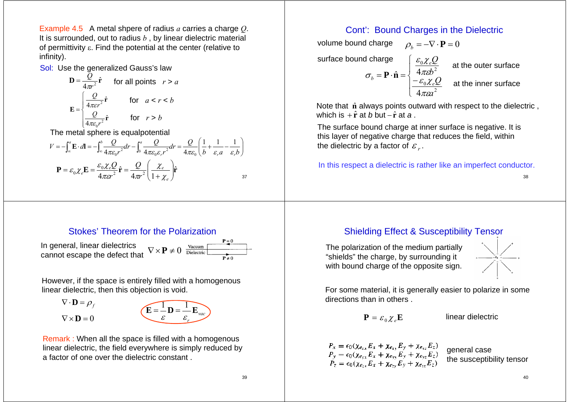Example 4.5 A metal shpere of radius *<sup>a</sup>* carries a charge *Q*. It is surrounded, out to radius *b* , by linear dielectric material of permittivity ε. Find the potential at the center (relative to infinity).

#### Sol: Use the generalized Gauss's law

$$
\mathbf{D} = \frac{Q}{4\pi r^2} \hat{\mathbf{r}} \quad \text{for all points} \quad r > a
$$
\n
$$
\mathbf{E} = \begin{cases} \frac{Q}{4\pi \varepsilon r^2} \hat{\mathbf{r}} & \text{for} \quad a < r < b \\ \frac{Q}{4\pi \varepsilon_0 r^2} \hat{\mathbf{r}} & \text{for} \quad r > b \end{cases}
$$

The metal sphere is equalpotential

$$
V = -\int_{\infty}^{a} \mathbf{E} \cdot d\mathbf{l} = -\int_{\infty}^{b} \frac{Q}{4\pi\varepsilon_{0}r^{2}} dr - \int_{b}^{a} \frac{Q}{4\pi\varepsilon_{0}\varepsilon_{r}r^{2}} dr = \frac{Q}{4\pi\varepsilon_{0}} \left(\frac{1}{b} + \frac{1}{\varepsilon_{r}a} - \frac{1}{\varepsilon_{r}b}\right)
$$

$$
\mathbf{P} = \varepsilon_{0} \chi_{e} \mathbf{E} = \frac{\varepsilon_{0} \chi_{e} Q}{4\pi\varepsilon_{0}r^{2}} \hat{\mathbf{r}} = \frac{Q}{4\pi r^{2}} \left(\frac{\chi_{e}}{1 + \chi_{e}}\right) \hat{\mathbf{r}}
$$

#### Stokes' Theorem for the Polarization

In general, linear dielectrics cannot escape the defect that  $\nabla \times \mathbf{P} \neq 0$ 

| Vacuum     | $P=0$     |
|------------|-----------|
| Dielectric | $P\neq 0$ |

However, if the space is entirely filled with a homogenous linear dielectric, then this objection is void.

 $\nabla \cdot \mathbf{D} = \rho_f$  $\nabla \times \mathbf{D} = 0$  $\mathbf{E} = \mathbf{\dot{-}} \mathbf{D} = \mathbf{\dot{-}} \mathbf{E}_{\text{vac}}$ *r*ε ε  $\begin{bmatrix} 1 \\ -D \end{bmatrix}$ 

Remark : When all the space is filled with a homogenous linear dielectric, the field everywhere is simply reduced by a factor of one over the dielectric constant .

#### Cont': Bound Charges in the Dielectric

 $\rho_{\scriptscriptstyle b} = -\nabla \cdot {\bf P} = 0$  $\left| \frac{-}{4} \right|$  $\left\{\begin{matrix} 1 \\ 1 \\ 1 \end{matrix}\right\}$  $= {\bf r} \cdot {\bf n}$  = 2 $\boldsymbol{0}$ 2  $\mathbf{0}$ 4 $\hat{\mathbf{n}} = \begin{cases} 4\pi\varepsilon b^2 \\ -\varepsilon_0 \chi_e Q \end{cases}$ *ab Q e e*  $\left| -\varepsilon_0 \chi \right|$ πεπε  $\varepsilon_{0}\chi$  $\sigma_{\iota} = \mathbf{P} \cdot \hat{\mathbf{n}}$ volume bound charge surface bound charge  $\left\{\begin{array}{r} \varepsilon_0 \chi_e \mathcal{Q} \\ \frac{\mathcal{E}_0 \chi_e \mathcal{Q}}{\chi_e} \end{array}\right.$  at the outer surface at the inner surface

 $\textsf{which is +} \hat{\textbf{r}} \textsf{at} \textit{b} \textsf{but -} \hat{\textbf{r}} \textsf{at} \textit{a} \,.$ Note that  $\hat{\mathbf{n}}$  always points outward with respect to the dielectric,

The surface bound charge at inner surface is negative. It is this layer of negative charge that reduces the field, within the dielectric by a factor of  $\,mathcal{E}_{\,r}$  .

In this respect a dielectric is rather like an imperfect conductor.

38

## Shielding Effect & Susceptibility Tensor

The polarization of the medium partially "shields" the charge, by surrounding it with bound charge of the opposite sign.



For some material, it is generally easier to polarize in some directions than in others .

$$
\mathbf{P} = \varepsilon_0 \chi_e \mathbf{E}
$$

**linear dielectric** 

 $P_x = \epsilon_0 (\chi_{e_{xx}} E_x + \chi_{e_{xy}} E_y + \chi_{e_{xz}} E_z)$  $P_y = \epsilon_0 (\chi_{e_{yx}} E_x + \chi_{e_{yy}} E_y + \chi_{e_{yz}} E_z)$ <br> $P_z = \epsilon_0 (\chi_{e_{zx}} E_x + \chi_{e_{zx}} E_y + \chi_{e_{zz}} E_z)$ 

general case the susceptibility tensor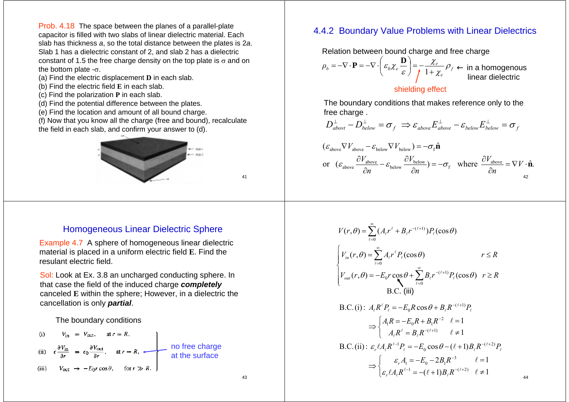Prob. 4.18 The space between the planes of a parallel-plate capacitor is filled with two slabs of linear dielectric material. Each slab has thickness *a*, so the total distance between the plates is 2*<sup>a</sup>*. Slab 1 has a dielectric constant of 2, and slab 2 has a dielectric constant of 1.5 the free charge density on the top plate is  $\sigma$  and on the bottom plate  $-\sigma$ .

- (a) Find the electric displacement **D** in each slab.
- (b) Find the electric field **E** in each slab.
- (c) Find the polarization **P** in each slab.
- (d) Find the potential difference between the plates.
- (e) Find the location and amount of all bound charge.
- (f) Now that you know all the charge (free and bound), recalculate the field in each slab, and confirm your answer to (d).



## 4.4.2 Boundary Value Problems with Linear Dielectrics

Relation between bound charge and free charge

$$
\rho_b = -\nabla \cdot \mathbf{P} = -\nabla \cdot \left(\varepsilon_0 \chi_e \frac{\mathbf{D}}{\varepsilon}\right) = -\frac{\chi_e}{\int 1 + \chi_e} \rho_f
$$

in a homogenous linear dielectric

44

#### shielding effect

The boundary conditions that makes reference only to the free charge.

$$
D_{\textit{about}}^{\perp} - D_{\textit{below}}^{\perp} = \sigma_f \implies \varepsilon_{\textit{above}} E_{\textit{above}}^{\perp} - \varepsilon_{\textit{below}} E_{\textit{below}}^{\perp} = \sigma_f
$$

$$
\begin{aligned} \left(\varepsilon_{\text{above}} \nabla V_{\text{above}} - \varepsilon_{\text{below}} \nabla V_{\text{below}}\right) &= -\sigma_{\text{f}} \hat{\mathbf{n}}\\ \text{or} \quad & \left(\varepsilon_{\text{above}} \frac{\partial V_{\text{above}}}{\partial n} - \varepsilon_{\text{below}} \frac{\partial V_{\text{below}}}{\partial n}\right) = -\sigma_{\text{f}} \quad \text{where} \quad \frac{\partial V_{\text{above}}}{\partial n} = \nabla V \cdot \hat{\mathbf{n}}. \end{aligned}
$$

#### Homogeneous Linear Dielectric Sphere

Example 4.7 A sphere of homogeneous linear dielectric material is placed in a uniform electric field **E**. Find the resulant electric field.

Sol: Look at Ex. 3.8 an uncharged conducting sphere. In that case the field of the induced charge *completely* canceled **E** within the sphere; However, in a dielectric the cancellation is only *partial*.

#### The boundary conditions

(i) 
$$
V_{\text{in}} = V_{\text{out}}, \quad \text{at } r = R,
$$
  
\n(ii)  $\epsilon \frac{\partial V_{\text{in}}}{\partial r} = \epsilon_0 \frac{\partial V_{\text{out}}}{\partial r}, \quad \text{at } r = R,$   $\longrightarrow$  no free charge  
\n(iii)  $V_{\text{out}} \rightarrow -E_0 r \cos \theta, \quad \text{for } r \gg R.$ 

$$
V(r, \theta) = \sum_{\ell=0}^{\infty} (A_{\ell}r^{\ell} + B_{\ell}r^{-(\ell+1)})P_{\ell}(\cos\theta)
$$
  
\n
$$
\begin{cases}\nV_{in}(r, \theta) = \sum_{\ell=0}^{\infty} A_{\ell}r^{\ell}P_{\ell}(\cos\theta) & r \leq R \\
V_{out}(r, \theta) = -E_{0}r\cos\theta + \sum_{\ell=0}^{\infty} B_{\ell}r^{-(\ell+1)}P_{\ell}(\cos\theta) & r \geq R \\
B.C. (iii)\n\end{cases}
$$
  
\nB.C. (i):  $A_{\ell}R^{\ell}P_{\ell} = -E_{0}R\cos\theta + B_{\ell}R^{-(\ell+1)}P_{\ell}$   
\n
$$
\Rightarrow \begin{cases}\nA_{1}R = -E_{0}R + B_{1}R^{-2} & \ell = 1 \\
A_{\ell}R^{\ell} = B_{\ell}R^{-(\ell+1)} & \ell \neq 1\n\end{cases}
$$
  
\nB.C. (ii):  $\varepsilon_{r}A_{\ell}R^{\ell-1}P_{\ell} = -E_{0}\cos\theta - (\ell+1)B_{\ell}R^{-(\ell+2)}P_{\ell}$   
\n
$$
\Rightarrow \begin{cases}\n\varepsilon_{r}A_{1} = -E_{0} - 2B_{1}R^{-3} & \ell = 1 \\
\varepsilon_{r}A_{\ell}R^{\ell-1} = -(\ell+1)B_{\ell}R^{-(\ell+2)} & \ell \neq 1\n\end{cases}
$$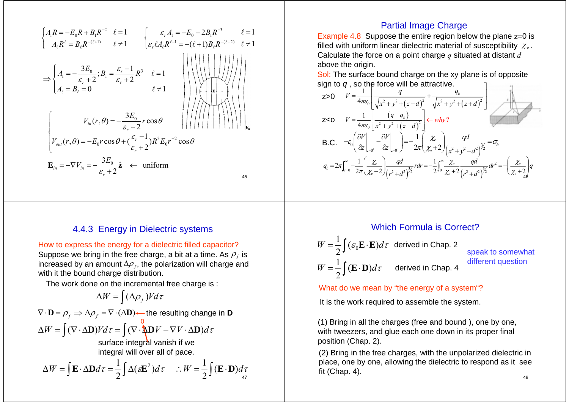$$
\begin{cases}\nA_{1}R = -E_{0}R + B_{1}R^{-2} & \ell = 1 \\
A_{\ell}R^{\ell} = B_{\ell}R^{-(\ell+1)} & \ell \neq 1\n\end{cases}\n\begin{cases}\n\varepsilon_{r}A_{1} = -E_{0} - 2B_{1}R^{-3} & \ell = 1 \\
\varepsilon_{r} \ell A_{\ell}R^{\ell-1} = -(\ell+1)B_{\ell}R^{-(\ell+2)} & \ell \neq 1\n\end{cases}
$$
\n
$$
\Rightarrow\n\begin{cases}\nA_{1} = -\frac{3E_{0}}{\varepsilon_{r} + 2}; B_{1} = \frac{\varepsilon_{r} - 1}{\varepsilon_{r} + 2}R^{3} & \ell = 1 \\
A_{\ell} = B_{\ell} = 0 & \ell \neq 1\n\end{cases}
$$
\n
$$
\begin{cases}\nV_{in}(r, \theta) = -\frac{3E_{0}}{\varepsilon_{r} + 2}r\cos\theta \\
V_{out}(r, \theta) = -E_{0}r\cos\theta + \left(\frac{\varepsilon_{r} - 1}{\varepsilon_{r} + 2}\right)R^{3}E_{0}r^{-2}\cos\theta\n\end{cases}
$$
\n
$$
\mathbf{E}_{in} = -\nabla V_{in} = -\frac{3E_{0}}{\varepsilon_{r} + 2}\hat{\mathbf{z}} \leftarrow \text{uniform}
$$

### 4.4.3 Energy in Dielectric systems

How to express the energy for a dielectric filled capacitor? Suppose we bring in the free charge, a bit at a time. As  $\rho_f$  is increased by an amount  $\Delta \rho_{f},$  the polarization will charge and with it the bound charge distribution.

The work done on the incremental free charge is :

$$
\Delta W = \int (\Delta \rho_f) V d\tau
$$

$$
\nabla \cdot \mathbf{D} = \rho_f \Rightarrow \Delta \rho_f = \nabla \cdot (\Delta \mathbf{D}) \leftarrow \text{the resulting change in } \mathbf{D}
$$

$$
\Delta W = \int (\nabla \cdot \Delta \mathbf{D}) V d\tau = \int (\nabla \cdot \Delta \mathbf{D} V - \nabla V \cdot \Delta \mathbf{D}) d\tau
$$

surface integral vanish if we integral will over all of pace.

$$
\Delta W = \int \mathbf{E} \cdot \Delta \mathbf{D} d\tau = \frac{1}{2} \int \Delta (\varepsilon \mathbf{E}^2) d\tau \quad \therefore W = \frac{1}{2} \int (\mathbf{E} \cdot \mathbf{D}) d\tau
$$

## Partial Image Charge

Example 4.8 Suppose the entire region below the plane z=0 is filled with uniform linear dielectric material of susceptibility  $\chi_e$ . Calculate the force on a point charge *q* situated at distant *d* above the origin.

Sol: The surface bound charge on the xy plane is of opposite sign to  $q$  , so the force will be attractive.  $\hskip1cm \lbrack$ 



## Which Formula is Correct?

$$
W = \frac{1}{2} \int (\varepsilon_0 \mathbf{E} \cdot \mathbf{E}) d\tau
$$
 derived in Chap. 2  
speak to somewhat  

$$
W = \frac{1}{2} \int (\mathbf{E} \cdot \mathbf{D}) d\tau
$$
 derived in Chap. 4  
different question

What do we mean by "the energy of a system"?

It is the work required to assemble the system.

(1) Bring in all the charges (free and bound ), one by one, with tweezers, and glue each one down in its proper final position (Chap. 2).

(2) Bring in the free charges, with the unpolarized dielectric in place, one by one, allowing the dielectric to respond as it see fit (Chap. 4).